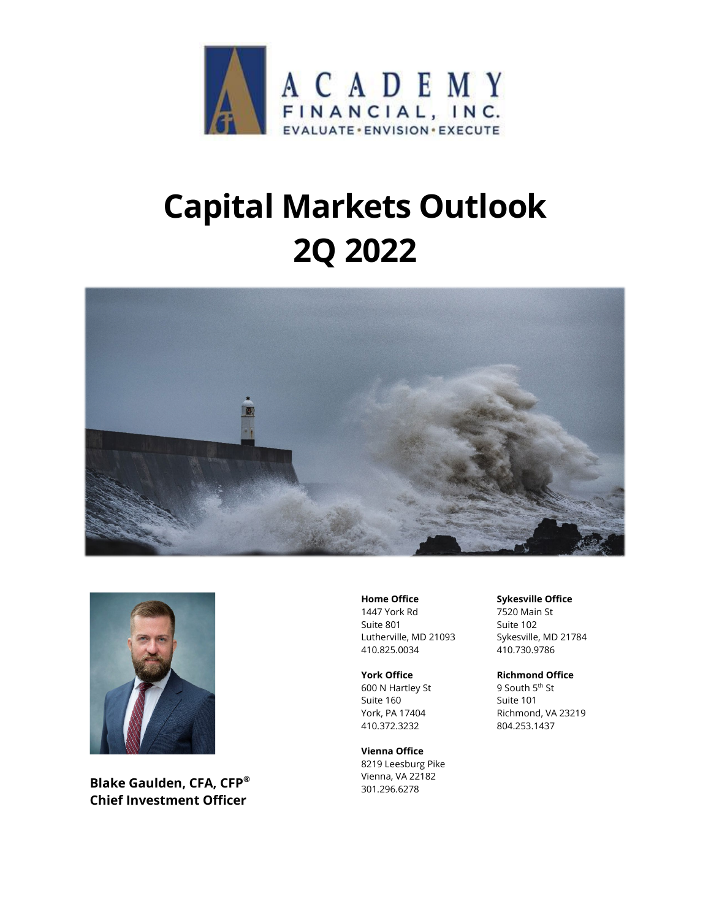

# **Capital Markets Outlook 2Q 2022**





**Blake Gaulden, CFA, CFP® Chief Investment Officer**

**Home Office**

1447 York Rd Suite 801 Lutherville, MD 21093 410.825.0034

**York Office**

600 N Hartley St Suite 160 York, PA 17404 410.372.3232

**Vienna Office** 8219 Leesburg Pike Vienna, VA 22182 301.296.6278

#### **Sykesville Office**

7520 Main St Suite 102 Sykesville, MD 21784 410.730.9786

**Richmond Office**

9 South 5<sup>th</sup> St Suite 101 Richmond, VA 23219 804.253.1437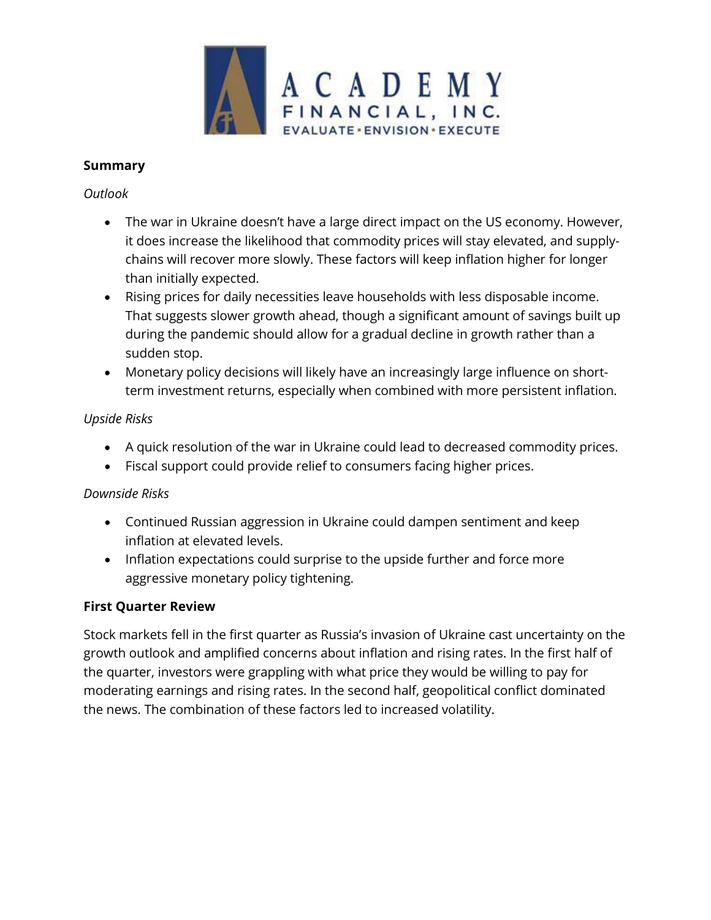

# **Summary**

## *Outlook*

- The war in Ukraine doesn't have a large direct impact on the US economy. However, it does increase the likelihood that commodity prices will stay elevated, and supplychains will recover more slowly. These factors will keep inflation higher for longer than initially expected.
- Rising prices for daily necessities leave households with less disposable income. That suggests slower growth ahead, though a significant amount of savings built up during the pandemic should allow for a gradual decline in growth rather than a sudden stop.
- Monetary policy decisions will likely have an increasingly large influence on shortterm investment returns, especially when combined with more persistent inflation.

# *Upside Risks*

- A quick resolution of the war in Ukraine could lead to decreased commodity prices.
- Fiscal support could provide relief to consumers facing higher prices.

# *Downside Risks*

- Continued Russian aggression in Ukraine could dampen sentiment and keep inflation at elevated levels.
- Inflation expectations could surprise to the upside further and force more aggressive monetary policy tightening.

## **First Quarter Review**

Stock markets fell in the first quarter as Russia's invasion of Ukraine cast uncertainty on the growth outlook and amplified concerns about inflation and rising rates. In the first half of the quarter, investors were grappling with what price they would be willing to pay for moderating earnings and rising rates. In the second half, geopolitical conflict dominated the news. The combination of these factors led to increased volatility.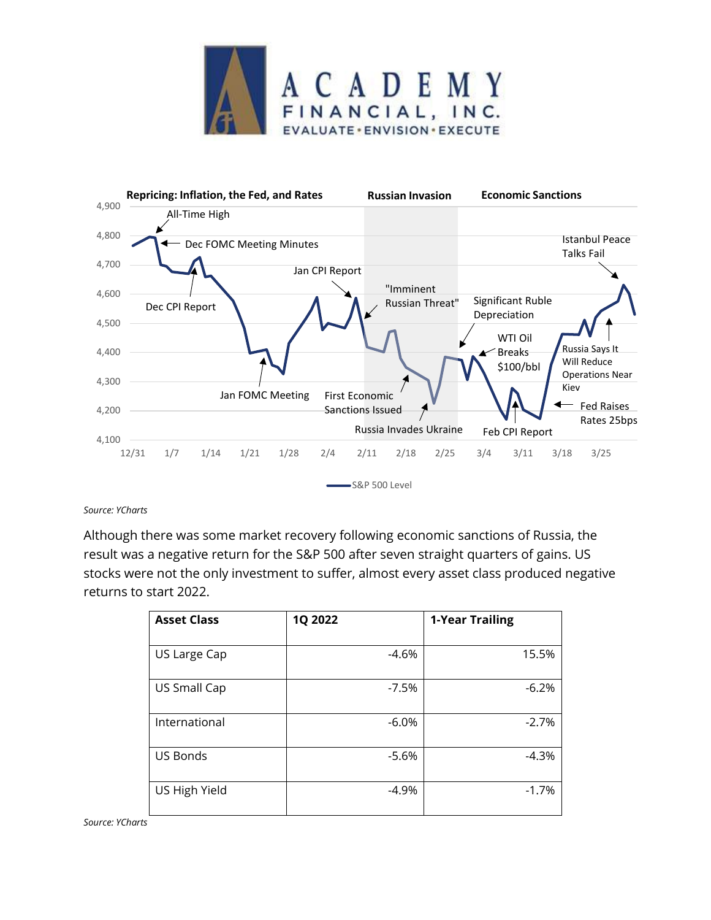



*Source: YCharts*

Although there was some market recovery following economic sanctions of Russia, the result was a negative return for the S&P 500 after seven straight quarters of gains. US stocks were not the only investment to suffer, almost every asset class produced negative returns to start 2022.

| <b>Asset Class</b> | 1Q 2022 | <b>1-Year Trailing</b> |
|--------------------|---------|------------------------|
| US Large Cap       | $-4.6%$ | 15.5%                  |
| US Small Cap       | $-7.5%$ | $-6.2%$                |
| International      | $-6.0%$ | $-2.7%$                |
| <b>US Bonds</b>    | $-5.6%$ | $-4.3%$                |
| US High Yield      | $-4.9%$ | $-1.7%$                |

*Source: YCharts*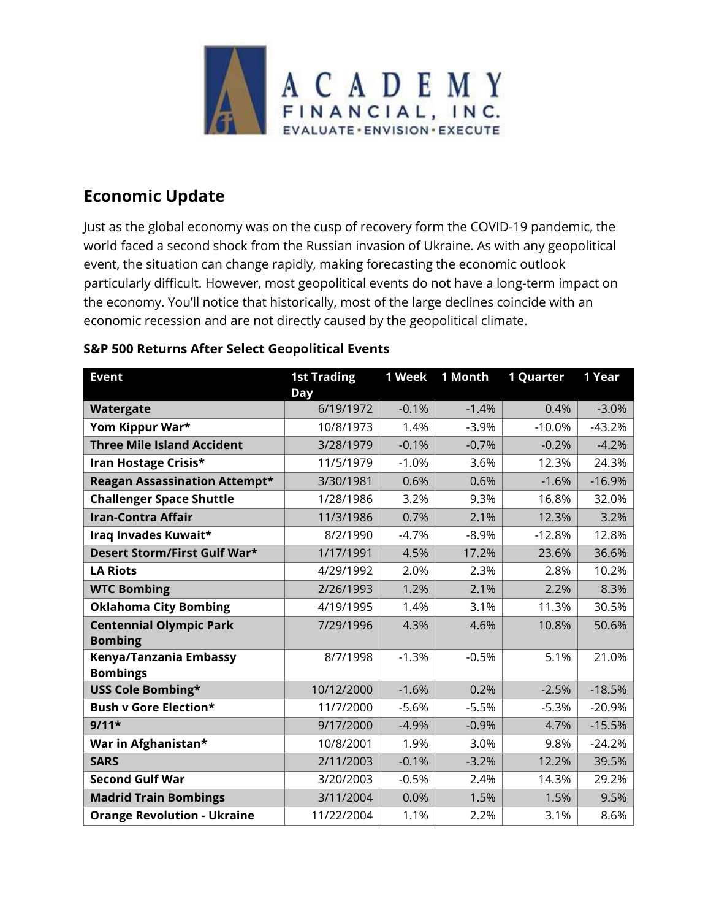

# **Economic Update**

Just as the global economy was on the cusp of recovery form the COVID-19 pandemic, the world faced a second shock from the Russian invasion of Ukraine. As with any geopolitical event, the situation can change rapidly, making forecasting the economic outlook particularly difficult. However, most geopolitical events do not have a long-term impact on the economy. You'll notice that historically, most of the large declines coincide with an economic recession and are not directly caused by the geopolitical climate.

# **S&P 500 Returns After Select Geopolitical Events**

| <b>Event</b>                                     | <b>1st Trading</b><br>Day | 1 Week  | 1 Month | <b>1 Quarter</b> | 1 Year   |
|--------------------------------------------------|---------------------------|---------|---------|------------------|----------|
| Watergate                                        | 6/19/1972                 | $-0.1%$ | $-1.4%$ | 0.4%             | $-3.0%$  |
| Yom Kippur War*                                  | 10/8/1973                 | 1.4%    | $-3.9%$ | $-10.0%$         | $-43.2%$ |
| <b>Three Mile Island Accident</b>                | 3/28/1979                 | $-0.1%$ | $-0.7%$ | $-0.2%$          | $-4.2%$  |
| Iran Hostage Crisis*                             | 11/5/1979                 | $-1.0%$ | 3.6%    | 12.3%            | 24.3%    |
| Reagan Assassination Attempt*                    | 3/30/1981                 | 0.6%    | 0.6%    | $-1.6%$          | $-16.9%$ |
| <b>Challenger Space Shuttle</b>                  | 1/28/1986                 | 3.2%    | 9.3%    | 16.8%            | 32.0%    |
| <b>Iran-Contra Affair</b>                        | 11/3/1986                 | 0.7%    | 2.1%    | 12.3%            | 3.2%     |
| Iraq Invades Kuwait*                             | 8/2/1990                  | $-4.7%$ | $-8.9%$ | $-12.8%$         | 12.8%    |
| Desert Storm/First Gulf War*                     | 1/17/1991                 | 4.5%    | 17.2%   | 23.6%            | 36.6%    |
| <b>LA Riots</b>                                  | 4/29/1992                 | 2.0%    | 2.3%    | 2.8%             | 10.2%    |
| <b>WTC Bombing</b>                               | 2/26/1993                 | 1.2%    | 2.1%    | 2.2%             | 8.3%     |
| <b>Oklahoma City Bombing</b>                     | 4/19/1995                 | 1.4%    | 3.1%    | 11.3%            | 30.5%    |
| <b>Centennial Olympic Park</b><br><b>Bombing</b> | 7/29/1996                 | 4.3%    | 4.6%    | 10.8%            | 50.6%    |
| Kenya/Tanzania Embassy<br><b>Bombings</b>        | 8/7/1998                  | $-1.3%$ | $-0.5%$ | 5.1%             | 21.0%    |
| USS Cole Bombing*                                | 10/12/2000                | $-1.6%$ | 0.2%    | $-2.5%$          | $-18.5%$ |
| <b>Bush v Gore Election*</b>                     | 11/7/2000                 | $-5.6%$ | $-5.5%$ | $-5.3%$          | $-20.9%$ |
| $9/11*$                                          | 9/17/2000                 | $-4.9%$ | $-0.9%$ | 4.7%             | $-15.5%$ |
| War in Afghanistan*                              | 10/8/2001                 | 1.9%    | 3.0%    | 9.8%             | $-24.2%$ |
| <b>SARS</b>                                      | 2/11/2003                 | $-0.1%$ | $-3.2%$ | 12.2%            | 39.5%    |
| <b>Second Gulf War</b>                           | 3/20/2003                 | $-0.5%$ | 2.4%    | 14.3%            | 29.2%    |
| <b>Madrid Train Bombings</b>                     | 3/11/2004                 | 0.0%    | 1.5%    | 1.5%             | 9.5%     |
| <b>Orange Revolution - Ukraine</b>               | 11/22/2004                | 1.1%    | 2.2%    | 3.1%             | 8.6%     |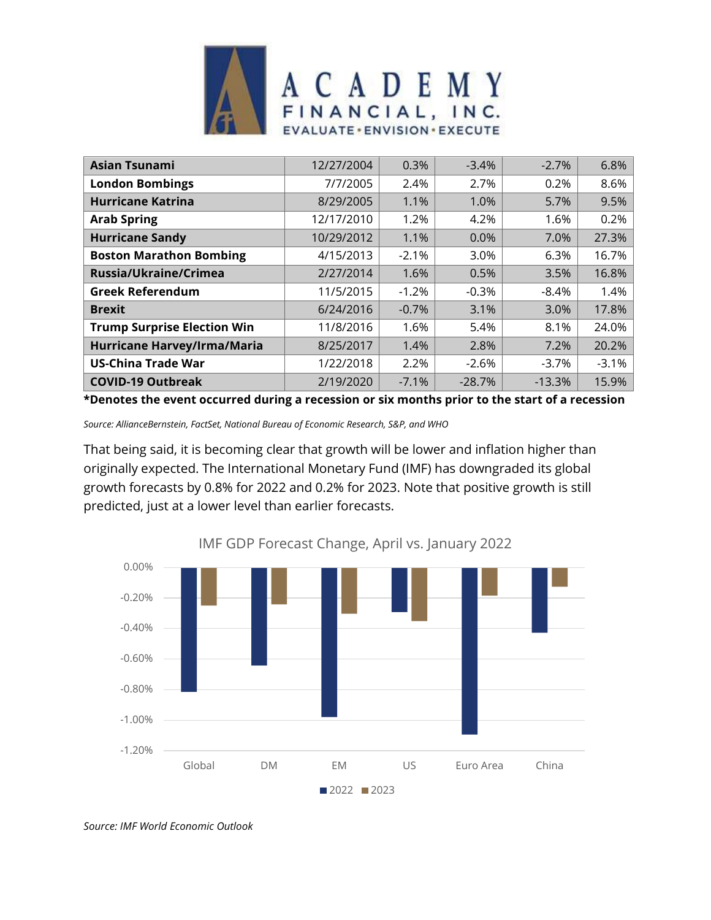

| <b>Asian Tsunami</b>               | 12/27/2004 | 0.3%    | $-3.4%$  | $-2.7%$  | 6.8%    |
|------------------------------------|------------|---------|----------|----------|---------|
| <b>London Bombings</b>             | 7/7/2005   | 2.4%    | 2.7%     | 0.2%     | 8.6%    |
| <b>Hurricane Katrina</b>           | 8/29/2005  | 1.1%    | 1.0%     | 5.7%     | 9.5%    |
| <b>Arab Spring</b>                 | 12/17/2010 | 1.2%    | 4.2%     | 1.6%     | 0.2%    |
| <b>Hurricane Sandy</b>             | 10/29/2012 | 1.1%    | 0.0%     | 7.0%     | 27.3%   |
| <b>Boston Marathon Bombing</b>     | 4/15/2013  | $-2.1%$ | 3.0%     | 6.3%     | 16.7%   |
| Russia/Ukraine/Crimea              | 2/27/2014  | 1.6%    | 0.5%     | 3.5%     | 16.8%   |
| <b>Greek Referendum</b>            | 11/5/2015  | $-1.2%$ | $-0.3%$  | -8.4%    | 1.4%    |
| <b>Brexit</b>                      | 6/24/2016  | $-0.7%$ | 3.1%     | 3.0%     | 17.8%   |
| <b>Trump Surprise Election Win</b> | 11/8/2016  | 1.6%    | 5.4%     | 8.1%     | 24.0%   |
| Hurricane Harvey/Irma/Maria        | 8/25/2017  | 1.4%    | 2.8%     | 7.2%     | 20.2%   |
| <b>US-China Trade War</b>          | 1/22/2018  | 2.2%    | $-2.6%$  | -3.7%    | $-3.1%$ |
| <b>COVID-19 Outbreak</b>           | 2/19/2020  | $-7.1%$ | $-28.7%$ | $-13.3%$ | 15.9%   |

**\*Denotes the event occurred during a recession or six months prior to the start of a recession**

*Source: AllianceBernstein, FactSet, National Bureau of Economic Research, S&P, and WHO*

That being said, it is becoming clear that growth will be lower and inflation higher than originally expected. The International Monetary Fund (IMF) has downgraded its global growth forecasts by 0.8% for 2022 and 0.2% for 2023. Note that positive growth is still predicted, just at a lower level than earlier forecasts.



IMF GDP Forecast Change, April vs. January 2022

*Source: IMF World Economic Outlook*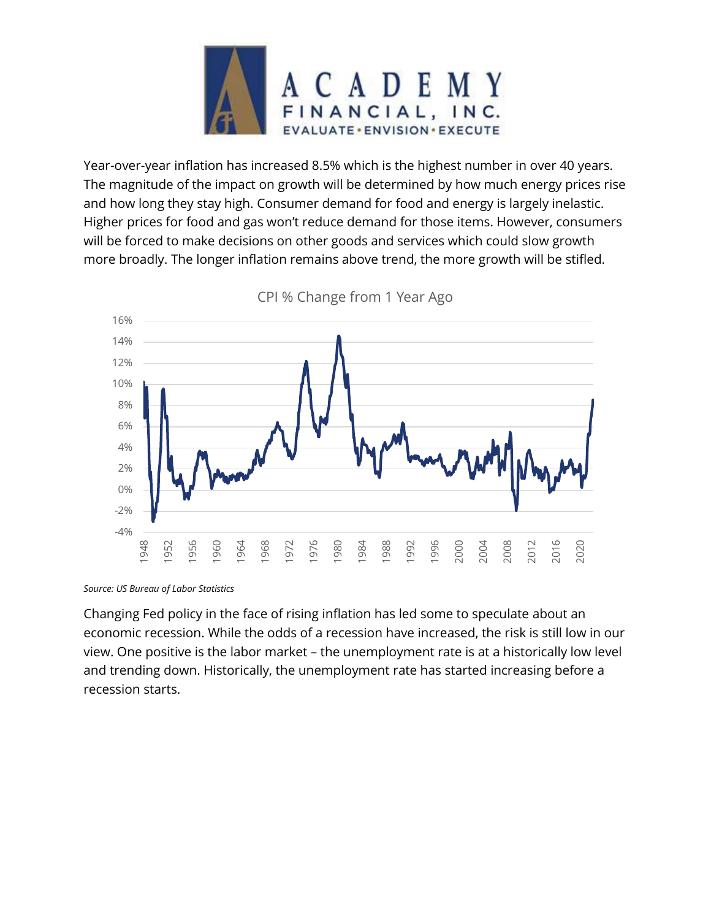

Year-over-year inflation has increased 8.5% which is the highest number in over 40 years. The magnitude of the impact on growth will be determined by how much energy prices rise and how long they stay high. Consumer demand for food and energy is largely inelastic. Higher prices for food and gas won't reduce demand for those items. However, consumers will be forced to make decisions on other goods and services which could slow growth more broadly. The longer inflation remains above trend, the more growth will be stifled.



CPI % Change from 1 Year Ago

*Source: US Bureau of Labor Statistics*

Changing Fed policy in the face of rising inflation has led some to speculate about an economic recession. While the odds of a recession have increased, the risk is still low in our view. One positive is the labor market – the unemployment rate is at a historically low level and trending down. Historically, the unemployment rate has started increasing before a recession starts.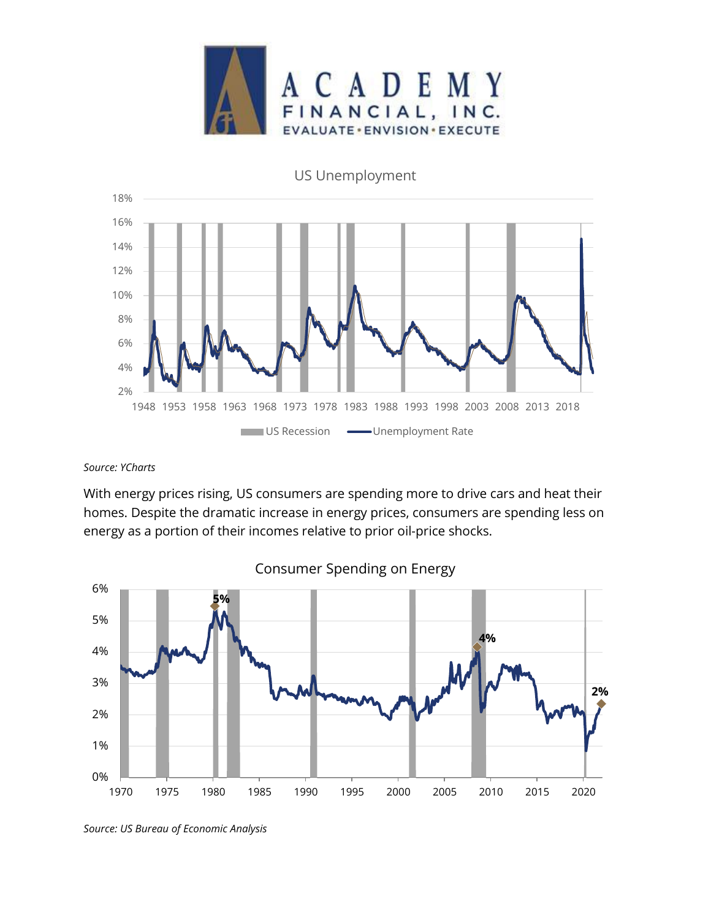

US Unemployment



#### *Source: YCharts*

With energy prices rising, US consumers are spending more to drive cars and heat their homes. Despite the dramatic increase in energy prices, consumers are spending less on energy as a portion of their incomes relative to prior oil-price shocks.



Consumer Spending on Energy

*Source: US Bureau of Economic Analysis*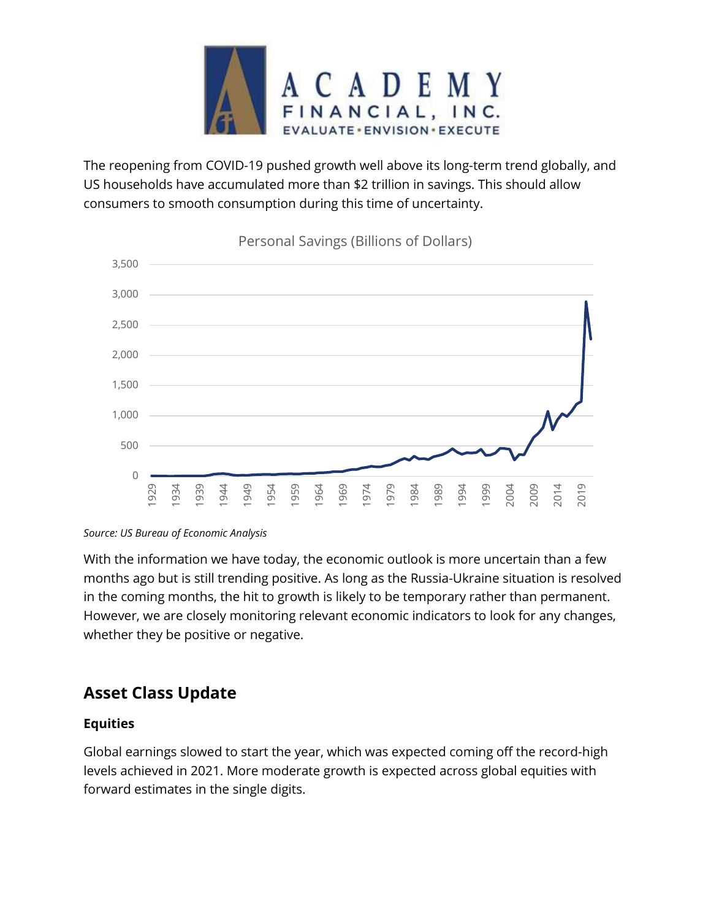

The reopening from COVID-19 pushed growth well above its long-term trend globally, and US households have accumulated more than \$2 trillion in savings. This should allow consumers to smooth consumption during this time of uncertainty.



### Personal Savings (Billions of Dollars)

*Source: US Bureau of Economic Analysis*

With the information we have today, the economic outlook is more uncertain than a few months ago but is still trending positive. As long as the Russia-Ukraine situation is resolved in the coming months, the hit to growth is likely to be temporary rather than permanent. However, we are closely monitoring relevant economic indicators to look for any changes, whether they be positive or negative.

# **Asset Class Update**

## **Equities**

Global earnings slowed to start the year, which was expected coming off the record-high levels achieved in 2021. More moderate growth is expected across global equities with forward estimates in the single digits.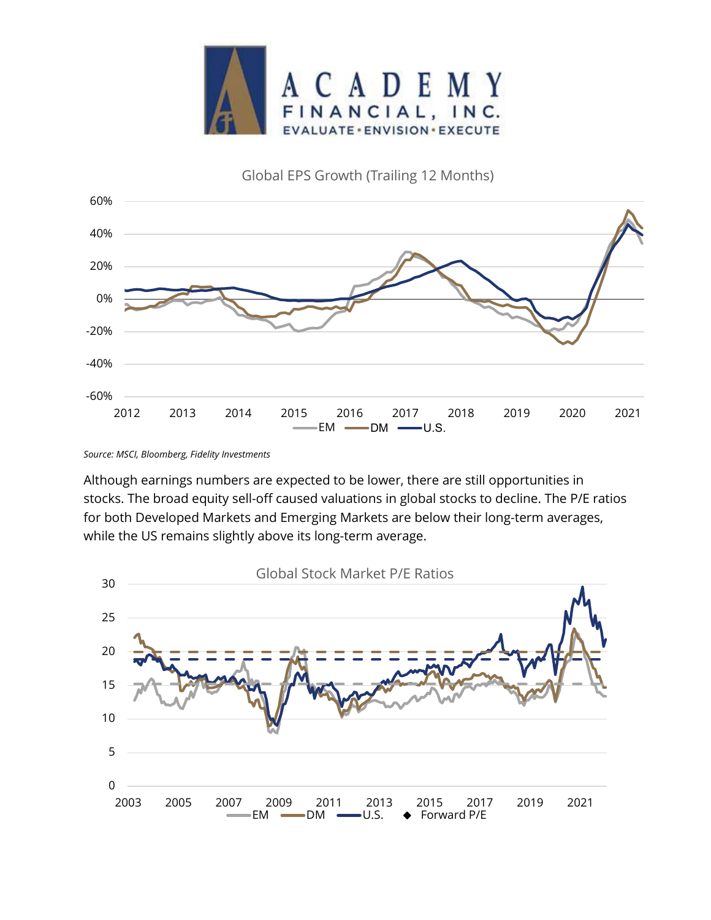

# Global EPS Growth (Trailing 12 Months)



*Source: MSCI, Bloomberg, Fidelity Investments*

Although earnings numbers are expected to be lower, there are still opportunities in stocks. The broad equity sell-off caused valuations in global stocks to decline. The P/E ratios for both Developed Markets and Emerging Markets are below their long-term averages, while the US remains slightly above its long-term average.

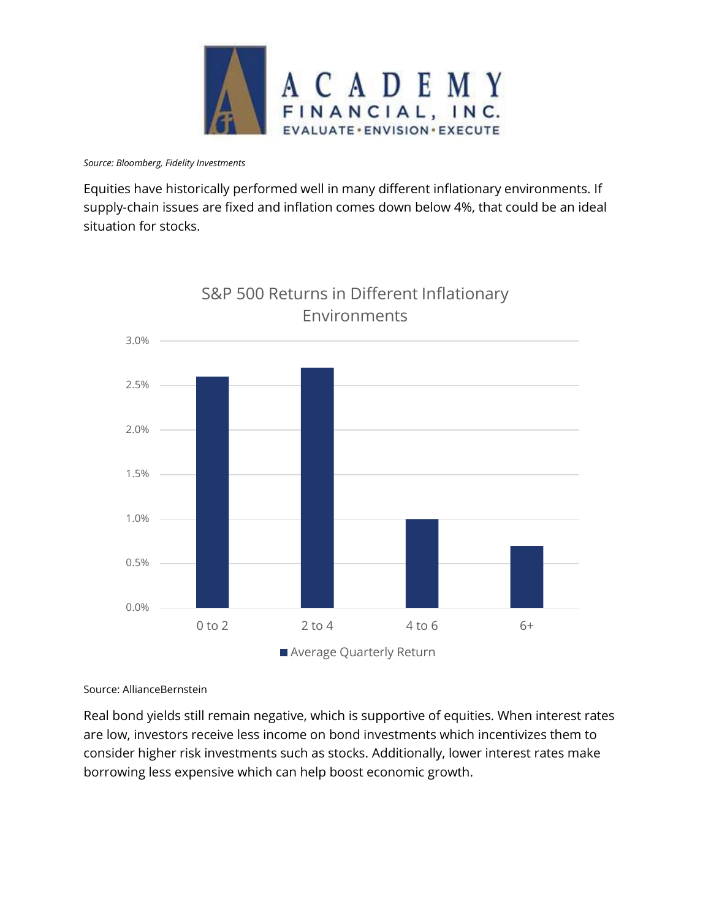

*Source: Bloomberg, Fidelity Investments*

Equities have historically performed well in many different inflationary environments. If supply-chain issues are fixed and inflation comes down below 4%, that could be an ideal situation for stocks.



S&P 500 Returns in Different Inflationary

Source: AllianceBernstein

Real bond yields still remain negative, which is supportive of equities. When interest rates are low, investors receive less income on bond investments which incentivizes them to consider higher risk investments such as stocks. Additionally, lower interest rates make borrowing less expensive which can help boost economic growth.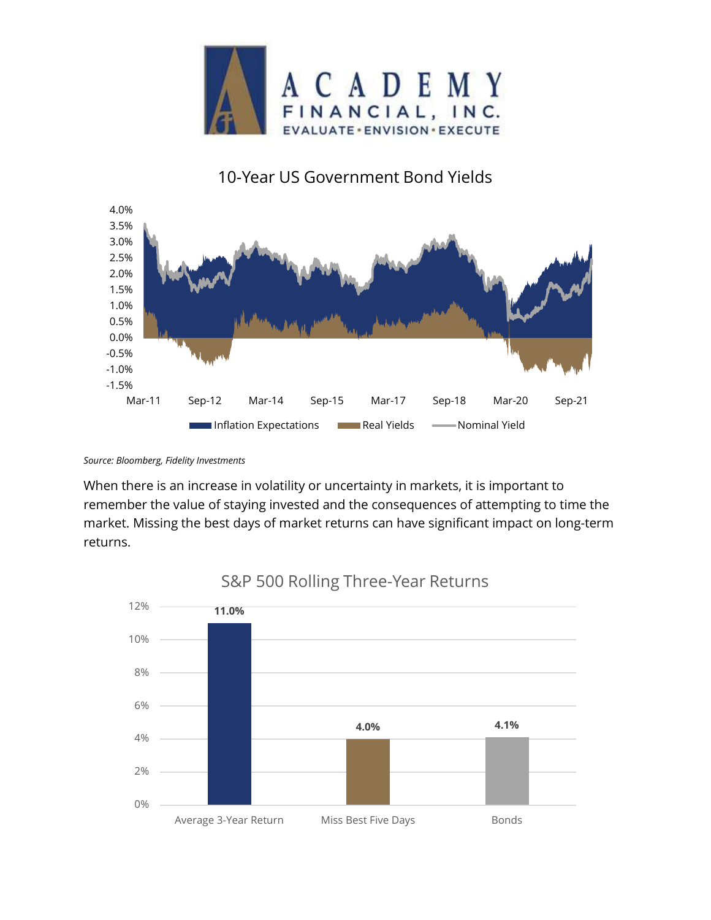

# 10-Year US Government Bond Yields



*Source: Bloomberg, Fidelity Investments* 

When there is an increase in volatility or uncertainty in markets, it is important to remember the value of staying invested and the consequences of attempting to time the market. Missing the best days of market returns can have significant impact on long-term returns.



S&P 500 Rolling Three-Year Returns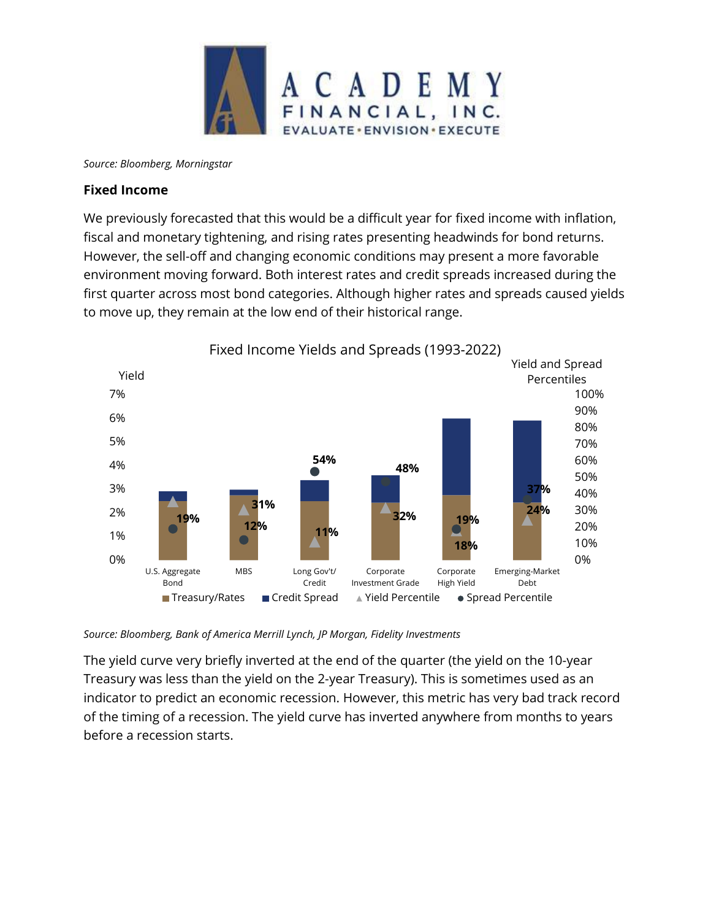

*Source: Bloomberg, Morningstar*

## **Fixed Income**

We previously forecasted that this would be a difficult year for fixed income with inflation, fiscal and monetary tightening, and rising rates presenting headwinds for bond returns. However, the sell-off and changing economic conditions may present a more favorable environment moving forward. Both interest rates and credit spreads increased during the first quarter across most bond categories. Although higher rates and spreads caused yields to move up, they remain at the low end of their historical range.



*Source: Bloomberg, Bank of America Merrill Lynch, JP Morgan, Fidelity Investments*

The yield curve very briefly inverted at the end of the quarter (the yield on the 10-year Treasury was less than the yield on the 2-year Treasury). This is sometimes used as an indicator to predict an economic recession. However, this metric has very bad track record of the timing of a recession. The yield curve has inverted anywhere from months to years before a recession starts.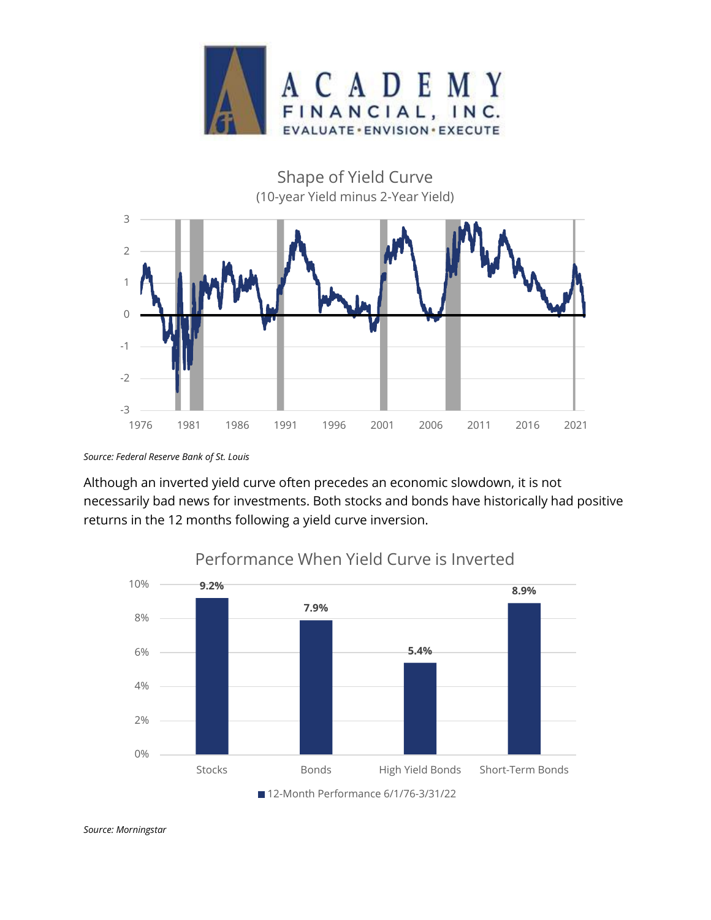



*Source: Federal Reserve Bank of St. Louis*

Although an inverted yield curve often precedes an economic slowdown, it is not necessarily bad news for investments. Both stocks and bonds have historically had positive returns in the 12 months following a yield curve inversion.



Performance When Yield Curve is Inverted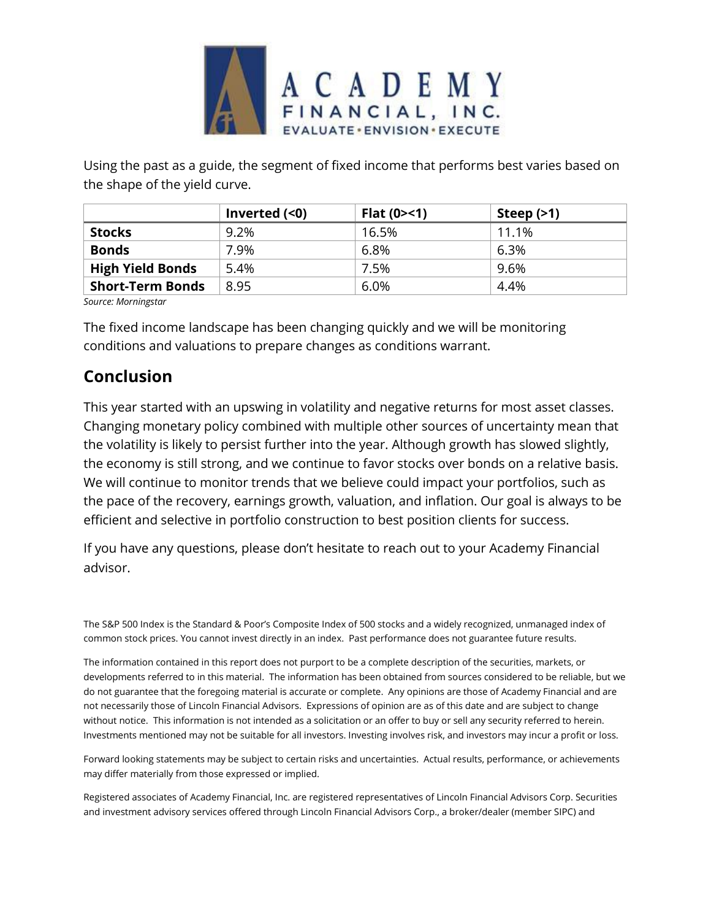

Using the past as a guide, the segment of fixed income that performs best varies based on the shape of the yield curve.

|                         | Inverted $($ | Flat $(0 > 1)$ | Steep $(>1)$ |
|-------------------------|--------------|----------------|--------------|
| <b>Stocks</b>           | 9.2%         | 16.5%          | 11.1%        |
| <b>Bonds</b>            | 7.9%         | 6.8%           | 6.3%         |
| <b>High Yield Bonds</b> | 5.4%         | 7.5%           | 9.6%         |
| <b>Short-Term Bonds</b> | 8.95         | 6.0%           | 4.4%         |

*Source: Morningstar*

The fixed income landscape has been changing quickly and we will be monitoring conditions and valuations to prepare changes as conditions warrant.

# **Conclusion**

This year started with an upswing in volatility and negative returns for most asset classes. Changing monetary policy combined with multiple other sources of uncertainty mean that the volatility is likely to persist further into the year. Although growth has slowed slightly, the economy is still strong, and we continue to favor stocks over bonds on a relative basis. We will continue to monitor trends that we believe could impact your portfolios, such as the pace of the recovery, earnings growth, valuation, and inflation. Our goal is always to be efficient and selective in portfolio construction to best position clients for success.

If you have any questions, please don't hesitate to reach out to your Academy Financial advisor.

The S&P 500 Index is the Standard & Poor's Composite Index of 500 stocks and a widely recognized, unmanaged index of common stock prices. You cannot invest directly in an index. Past performance does not guarantee future results.

The information contained in this report does not purport to be a complete description of the securities, markets, or developments referred to in this material. The information has been obtained from sources considered to be reliable, but we do not guarantee that the foregoing material is accurate or complete. Any opinions are those of Academy Financial and are not necessarily those of Lincoln Financial Advisors. Expressions of opinion are as of this date and are subject to change without notice. This information is not intended as a solicitation or an offer to buy or sell any security referred to herein. Investments mentioned may not be suitable for all investors. Investing involves risk, and investors may incur a profit or loss.

Forward looking statements may be subject to certain risks and uncertainties. Actual results, performance, or achievements may differ materially from those expressed or implied.

Registered associates of Academy Financial, Inc. are registered representatives of Lincoln Financial Advisors Corp. Securities and investment advisory services offered through Lincoln Financial Advisors Corp., a broker/dealer (member SIPC) and